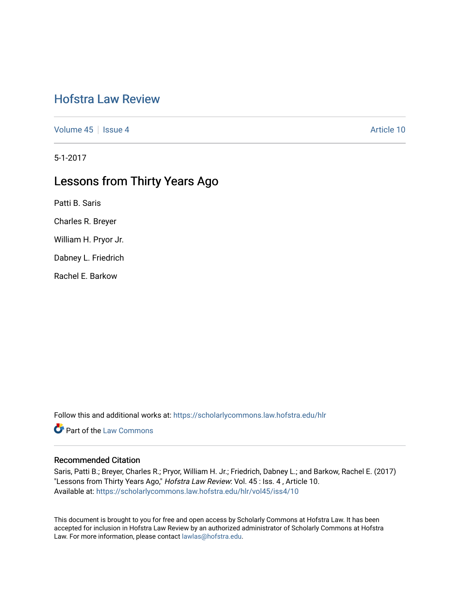## [Hofstra Law Review](https://scholarlycommons.law.hofstra.edu/hlr)

[Volume 45](https://scholarlycommons.law.hofstra.edu/hlr/vol45) | [Issue 4](https://scholarlycommons.law.hofstra.edu/hlr/vol45/iss4) Article 10

5-1-2017

# Lessons from Thirty Years Ago

Patti B. Saris

Charles R. Breyer

William H. Pryor Jr.

Dabney L. Friedrich

Rachel E. Barkow

Follow this and additional works at: [https://scholarlycommons.law.hofstra.edu/hlr](https://scholarlycommons.law.hofstra.edu/hlr?utm_source=scholarlycommons.law.hofstra.edu%2Fhlr%2Fvol45%2Fiss4%2F10&utm_medium=PDF&utm_campaign=PDFCoverPages)

**Part of the [Law Commons](http://network.bepress.com/hgg/discipline/578?utm_source=scholarlycommons.law.hofstra.edu%2Fhlr%2Fvol45%2Fiss4%2F10&utm_medium=PDF&utm_campaign=PDFCoverPages)** 

### Recommended Citation

Saris, Patti B.; Breyer, Charles R.; Pryor, William H. Jr.; Friedrich, Dabney L.; and Barkow, Rachel E. (2017) "Lessons from Thirty Years Ago," Hofstra Law Review: Vol. 45 : Iss. 4, Article 10. Available at: [https://scholarlycommons.law.hofstra.edu/hlr/vol45/iss4/10](https://scholarlycommons.law.hofstra.edu/hlr/vol45/iss4/10?utm_source=scholarlycommons.law.hofstra.edu%2Fhlr%2Fvol45%2Fiss4%2F10&utm_medium=PDF&utm_campaign=PDFCoverPages) 

This document is brought to you for free and open access by Scholarly Commons at Hofstra Law. It has been accepted for inclusion in Hofstra Law Review by an authorized administrator of Scholarly Commons at Hofstra Law. For more information, please contact [lawlas@hofstra.edu.](mailto:lawlas@hofstra.edu)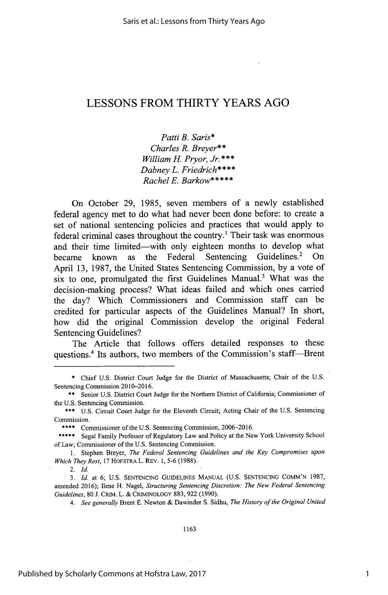### **LESSONS** FROM THIRTY YEARS **AGO**

*Patti B. Saris\* Charles R. Breyer\*\* William H. Pryor, Jr.\*\*\* Dabney L. Friedrich\*\*\*\* Rachel E. Barkow\*\*\*\*\**

On October **29,** *1985,* seven members of a newly established federal agency met to do what had never been done before: to create a set of national sentencing policies and practices that would apply to federal criminal cases throughout the country.' Their task was enormous and their time limited-with only eighteen months to develop what became known as the Federal Sentencing Guidelines.<sup>2</sup> On April **13, 1987,** the United States Sentencing Commission, **by** a vote of six to one, promulgated the first Guidelines Manual.' What was the decision-making process? What ideas failed and which ones carried the day? Which Commissioners and Commission staff can **be** credited for particular aspects of the Guidelines Manual? In short, how did the original Commission develop the original Federal Sentencing Guidelines?

The Article that follows offers detailed responses to these questions.<sup>4</sup> Its authors, two members of the Commission's staff-Brent

*2. Id.*

**<sup>\*</sup>** Chief **U.S.** District Court Judge for the District of Massachusetts; Chair of the **U.S.** Sentencing Commission **2010-2016.**

**<sup>\*\*</sup>** Senior **U.S.** District Court Judge for the Northern District of California; Commissioner of the **U.S.** Sentencing Commission.

**<sup>\*\*\*</sup> U.S.** Circuit Court Judge for the Eleventh Circuit; Acting Chair of the **U.S.** Sentencing Commission.

<sup>\*\*\*\*</sup> Commissioner of the **U.S.** Sentencing Commission, **2006-2016.**

<sup>\*\*\*\*\*</sup> Segal Family Professor of Regulatory Law and Policy at the New York University School of Law; Commissioner of the **U.S.** Sentencing Commission.

**<sup>1.</sup>** Stephen Breyer, *The Federal Sentencing Guidelines and the Key Compromises upon Which They Rest,* **17** HOFSTRA L. REV. **1, 5-6 (1988).**

*<sup>3.</sup> Id.* at **6; U.S. SENTENCING** GUIDELINES **MANUAL (U.S. SENTENCING COMM'N 1987,** amended **2016);** Ilene H. Nagel, *Structuring Sentencing Discretion: The New Federal Sentencing Guidelines,* **80 J.** CRIM. L. **&** CRIMINOLOGY **883, 922 (1990).**

*<sup>4.</sup> See generally* Brent **E.** Newton **&** Dawinder **S.** Sidhu, *The History of the Original United*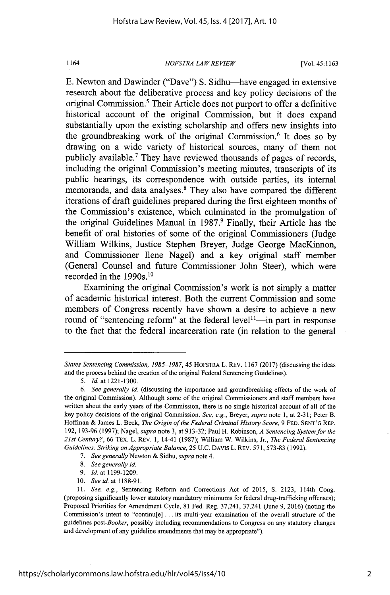#### *HOFSTRA LA WREVIEW* 1164 [Vol. **45:1163**

**E.** Newton and Dawinder ("Dave") **S.** Sidhu-have engaged in extensive research about the deliberative process and key policy decisions of the original Commission.' Their Article does not purport to offer a definitive historical account of the original Commission, but it does expand substantially upon the existing scholarship and offers new insights into the groundbreaking work of the original Commission.<sup>6</sup>It does so **by** drawing on a wide variety of historical sources, many of them not publicly available.' They have reviewed thousands of pages of records, including the original Commission's meeting minutes, transcripts of its public hearings, its correspondence with outside parties, its internal memoranda, and data analyses.<sup>8</sup> They also have compared the different iterations of draft guidelines prepared during the first eighteen months of the Commission's existence, which culminated in the promulgation of the original Guidelines Manual in **1987.9** Finally, their Article has the benefit of oral histories of some of the original Commissioners (Judge William Wilkins, Justice Stephen Breyer, Judge George MacKinnon, and Commissioner Ilene Nagel) and a key original staff member (General Counsel and future Commissioner John Steer), which were recorded in the  $1990s$ .<sup>10</sup>

Examining the original Commission's work is not simply a matter of academic historical interest. Both the current Commission and some members of Congress recently have shown a desire to achieve a new round of "sentencing reform" at the federal level<sup> $11$ </sup>—in part in response to the fact that the federal incarceration rate (in relation to the general

- **8.** *See generally id.*
- **9.** *Id. at 1199-1209.*
- **10.** *See id.* at **1188-91.**

*States Sentencing Commission, 1985-1987, 45* HOFSTRA L. REV. **1167 (2017)** (discussing the ideas and the process behind the creation of the original Federal Sentencing Guidelines).

*<sup>5.</sup> Id* at **1221-1300.**

*<sup>6.</sup> See generally id.* (discussing the importance and groundbreaking effects of the work of the original Commission). Although some of the original Commissioners and staff members have written about the early years of the Commission, there is no single historical account of all of the key policy decisions of the original Commission. *See, e.g., Breyer, supra* note **1,** at **2-31;** Peter B. Hoffman **&** James L. Beck, *The Origin of the Federal Criminal History Score, 9* **FED. SENT'G** REP. **192, 193-96 (1997);** Nagel, *supra* note **3,** at **913-32;** Paul H. Robinson, *A Sentencing System for the 21st Century?,* **66** TEx. L. REV. **1,** 14-41 **(1987);** William W. Wilkins, Jr., *The Federal Sentencing Guidelines: Striking an Appropriate Balance,* **25 U.C. DAVIS** L. REV. **571, 573-83 (1992).**

**<sup>7.</sup>** *See generally* Newton **&** Sidhu, *supra* note 4.

**<sup>11.</sup>** *See, e.g.,* Sentencing Reform and Corrections Act of **2015, S. 2123,** 114th Cong. (proposing significantly lower statutory mandatory minimums for federal drug-trafficking offenses); Proposed Priorities for Amendment Cycle, **81** Fed. Reg. 37,241, 37,241 (June **9, 2016)** (noting the Commission's intent to "continu[e] **.** . **.** its multi-year examination of the overall structure of the guidelines *post-Booker,* possibly including recommendations to Congress on any statutory changes and development of any guideline amendments that may be appropriate").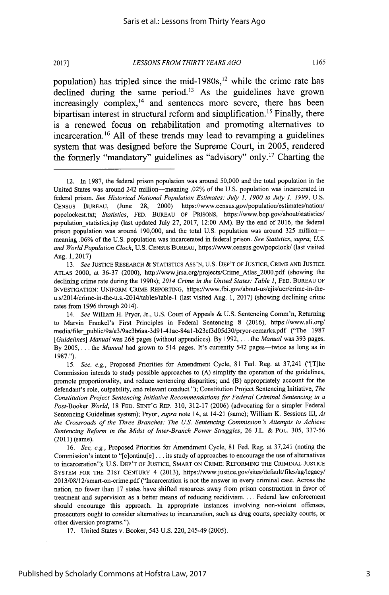bipartisan interest in structural reform and simplification.<sup>15</sup> Finally, there is a renewed focus on rehabilitation and promoting alternatives to incarceration. <sup>16</sup>**All** of these trends may lead to revamping a guidelines system that was designed before the Supreme Court, in **2005,** rendered the formerly "mandatory" guidelines as "advisory" only.<sup>17</sup> Charting the

<sup>12.</sup> In **1987,** the federal prison population was around **50,000** and the total population in the United States was around 242 million-meaning .02% of the **U.S.** population was incarcerated in federal prison. *See Historical National Population Estimates: July 1, 1900 to July 1, 1999,* **U.S.** CENSUS BUREAU, (June **28,** 2000) https://www.census.gov/population/estimates/nation/ popclockest.txt; *Statistics,* **FED.** BUREAU OF PRISONS, https://www.bop.gov/about/statistics/ population statistics.jsp (last updated July **27, 2017,** 12:00 AM). **By** the end of **2016,** the federal prison population was around **190,000,** and the total **U.S.** population was around **325** millionmeaning **.06%** of the **U.S.** population was incarcerated in federal prison. *See Statistics, supra; U.S. and World Population Clock,* **U.S.** CENSUS BUREAU, https://www.census.gov/popclock/ (last visited Aug. **1, 2017).**

*<sup>13.</sup> See* **JUSTICE** RESEARCH **&** STATISTICS Ass'N, **U.S.** DEP'T OF **JUSTICE,** CRIME **AND JUSTICE** ATLAS 2000, at **36-37** (2000), http://www.jrsa.org/projects/CrimeAtlas\_2000.pdf (showing the declining crime rate during the 1990s); *2014 Crime in the United States: Table 1,* **FED. BUREAU** OF **INVESTIGATION: UNIFORM** CRIME REPORTING, https://www.fbi.gov/about-us/cjis/ucr/crime-in-theu.s/2014/crime-in-the-u.s.-2014/tables/table-1 (last visited Aug. **1, 2017)** (showing declining crime rates from **1996** through 2014).

*<sup>14.</sup> See* William H. Pryor, Jr., **U.S.** Court of Appeals **& U.S.** Sentencing Comm'n, Returning to Marvin Frankel's First Principles in Federal Sentencing **8 (2016),** https://www.ali.org/ media/filer\_public/9a/e3/9ae3b6aa-3d91-41ae-84a1-b23cf3d05d30/pryor-remarks.pdf ("The 1987 *[Guidelines] Manual* was **268** pages (without appendices). **By 1992,. . .** the *Manual* was **393** pages. By 2005,... the *Manual* had grown to 514 pages. It's currently 542 pages—twice as long as in **1987.").**

*<sup>15.</sup> See, e.g.,* Proposed Priorities for Amendment Cycle, **81** Fed. Reg. at 37,241 ("[T]he Commission intends to study possible approaches to **(A)** simplify the operation of the guidelines, promote proportionality, and reduce sentencing disparities; and (B) appropriately account for the defendant's role, culpability, and relevant conduct."); Constitution Project Sentencing Initiative, *The Constitution Project Sentencing Initiative Recommendations for Federal Criminal Sentencing in a Post-Booker World,* **18 FED. SENT'G** REP. **310, 312-17 (2006)** (advocating for a simpler Federal Sentencing Guidelines system); Pryor, *supra* note 14, at 14-21 (same); William K. Sessions **III,** *At the Crossroads of the Three Branches: The U.S. Sentencing Commission's Attempts to Achieve Sentencing Reform in the Midst of Inter-Branch Power Struggles,* **26 J.L. &** POL. **305, 337-56** (2011) (same).

*<sup>16.</sup> See, e.g.,* Proposed Priorities for Amendment Cycle, **81** Fed. Reg. at 37,241 (noting the Commission's intent to "[c]ontinu[e] **...** its study of approaches to encourage the use of alternatives to incarceration"); **U.S.** DEP'T OF **JUSTICE,** SMART **ON** CRIME: REFORMING THE CRIMINAL **JUSTICE** SYSTEM FOR **THE 21ST CENTURY** 4 **(2013),** https://www.justice.gov/sites/default/files/ag/legacy/ 2013/08/12/smart-on-crime.pdf ("Incarceration is not the answer in every criminal case. Across the nation, no fewer than **17** states have shifted resources away from prison construction in favor of treatment and supervision as a better means of reducing recidivism... **.** Federal law enforcement should encourage this approach. In appropriate instances involving non-violent offenses, prosecutors ought to consider alternatives to incarceration, such as drug courts, specialty courts, or other diversion programs.").

**<sup>17.</sup>** United States v. Booker, 543 **U.S.** 220, 245-49 **(2005).**